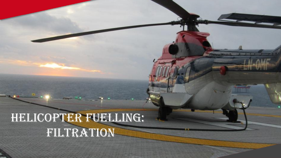# HELICOPTER FUELLING: Filtration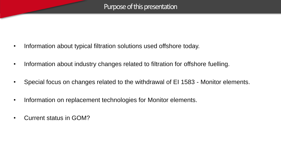- Information about typical filtration solutions used offshore today.
- Information about industry changes related to filtration for offshore fuelling.
- Special focus on changes related to the withdrawal of EI 1583 Monitor elements.
- Information on replacement technologies for Monitor elements.
- Current status in GOM?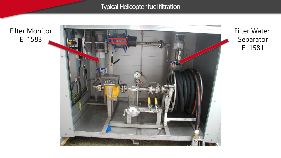Typical Helicopter fuel filtration

Filter Monitor EI 1583



Filter Water Separator EI 1581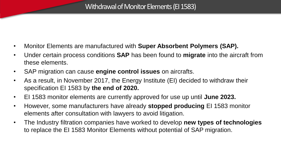- Monitor Elements are manufactured with **Super Absorbent Polymers (SAP).**
- Under certain process conditions **SAP** has been found to **migrate** into the aircraft from these elements.
- SAP migration can cause **engine control issues** on aircrafts.
- As a result, in November 2017, the Energy Institute (EI) decided to withdraw their specification EI 1583 by **the end of 2020.**
- EI 1583 monitor elements are currently approved for use up until **June 2023.**
- However, some manufacturers have already **stopped producing** EI 1583 monitor elements after consultation with lawyers to avoid litigation.
- The Industry filtration companies have worked to develop **new types of technologies**  to replace the EI 1583 Monitor Elements without potential of SAP migration.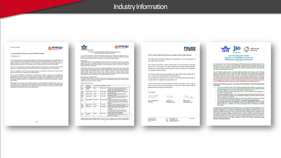### Industry Information

For public release

#### To all manufacturers and users of aviation fuel filter monitors

27 November 2017

The El has received data demonstrating that filter monitor elements qualified to the requirements of El 1583 Laboratory fests and minimum performance levels for aviation fuel filter monitors, 6<sup>30</sup> or 7<sup>6</sup><br>editions may not be fit-for-purpose due to their release of super-absorbent polymer, particularly at differential pressures above 15 psi (caused by water injection into fuel; below their rated flow).

energy

Users of this technology for into-plane fuelling applications shall review this with their filter monitor suppliers as a matter of urgency and implement measures to mitigate the risk of SAP migration.

The El is supportive of the IATA SAP Special Interest Group position statement that filter monitors shall be phased out of all aviation fuel handling systems

El will not be maintaining or updating El 1583 beyond its current 7<sup>th</sup> edition and will withdraw the specification by no later than 31st December 2020. Until then, only modifications to existing qualified elements that reduce the level of SAP migration will be eligible for an El qualification test witness. El is ocusing all available resources on supporting the development of alternative technologies to replace filter monitors

Manufacturers who provide filter monitor elements in nominal diameters outside of the scope of El 1583 (which covers only two inch out to in flow format and six inch in to out and out to in flow formats) shall investigate their propensity for SAP migration at elevated differential pressure (caused by water-welting) and communicate the risk to all element users.

IATA Super-absorbent Polymer (SAP) Special Interest Group -<br>Data summary and proposed roadmap

On 14 November 2017 the IATA SAP Special Interest Group released the statement shown in Appendix A. This paper provides a summary of the information on which the statement is based and the roadmap that is proposed by the group for adoption by all stakeholders.

energy

### Background

**TATA** 

MAX provides Croup was established at the May 2014 IATA Aviation Fuel Forum to investigate<br>whether there was a correlation between fuel control unit (FCU) and/or hydro-mechanical unit.<br>(FMU) operability issues and the pres whether there was a causal link

Participants in the group since then have included representatives from airframe and engine OEMs<br>(PAUC) Aviston, PECOTacot, Patent Velocon, airlines (Pit Berlin, American Airfred, Austral, Pictor), Andrea, P<br>Airfred, Briti

The Special interest Group has been made aware of eight aircraft events where SAP has been confirmed by those involved as having been the cause of operability issues for the aircraft operator.<br>Details of the events are sho

### Table 4: Abscrib accords

| Date                     | Departure<br>Location*  | Aircraft type   | Engine type  | <b>Issue</b>                                                                                                                                                                                                                         |
|--------------------------|-------------------------|-----------------|--------------|--------------------------------------------------------------------------------------------------------------------------------------------------------------------------------------------------------------------------------------|
| May<br>7017              | Rangoon<br>(RGN)        | 8757            | RR211-524    | Series of uncommanded thrust variations.<br>failed starts and long shutdown times on one<br>engine, then a dual engine failed start.                                                                                                 |
| <b>June</b><br>2016      | Dhaka (DAC)             | 0.777           | GE90-115B    | Aborted take-off due to ENG FAIL message<br>and high vibration.                                                                                                                                                                      |
| Dec.<br>2015             | Lagos (LOS)             | A330            | Trent 700    | Engine surge and engine pressure ratio<br>fluctuations in flight.                                                                                                                                                                    |
| Mar<br>2015              | Lagos (LOS)             | A330            | Townt 700    | Engine anomalies and then failed start found.<br>during standard pre-start checks on the<br>ground                                                                                                                                   |
| $\overline{0}$<br>2014   | Bogota (BOG)            | <b>Av A 330</b> | To Trent 700 | Three aircraft impacted. Each experienced<br>engine control system anomalies and failed<br>starts during standard pre-start checks on the<br>ground.                                                                                 |
| Mar<br>2014              | Port Harcourt<br>(PHCl) | A330            | Trent 700    | Engine anomalies and failed start found during<br>standard pre-start checks on the ground.                                                                                                                                           |
| Dec.<br>2010             | Lisbon (LIS)            | B777            | GF95-94R     | One engine sustained heavy damage in flight.<br>(high vibration during climb) and was<br>shutdown.<br>The sister engine (on same aircraft) also<br>sustained heavy damage on the next flight.<br>restrictives and use izouani empat- |
| Apr <sup>.</sup><br>2010 | Suratiava<br>(SUB)      | A330            | Trent 700    | Dual engine loss of thrust control.<br>In flight shutdown and restart of No 2 engine<br>falled to clear problem.                                                                                                                     |



### FAUDI Aviation suspends manufacture and supply of filter monitor elements

The Energy Institute announced the withdrawal of the publication El 1583 covering aviation fuel filter monitors at the end of 2020.

FAUDI Aviation sought advice of lawyers if filter monitors can be used beyond the withdrawal date of the El 1583 specification. The legal assessment does not result in definite guidelines. Considering the unclear situation from the legal point of view and the interests of our customers, we developed our position as follows:

We hereby give notice to terminate manufacture and supply of filter monitor elements both 2" and 6", our models M.2-XXX/6B and MO6.X-XXX/6B respectively. The last supply of filter monitors will be 30th June 2020. FAUDI Aviation filter monitors should not be used in aviation fuel application beyond December 2020.

We are very well aware of the practical difficulties involved in the change and will be happy to assist you and to present you with alternatives in the near future. Please contact us for this purpose and also if you have any further questions.

+49 8428 44652 - 670<br>+49 8428 44852 - 223

Yours faithfully  $14.45$ 1 di Jürgen Buss Marcus Wildschuetz

President

Mathias Aden Managing Director

Holliand Managing Director

December 2010

| <b>IATA</b> | llG |  | Airlines for<br><b>America</b> |
|-------------|-----|--|--------------------------------|
|-------------|-----|--|--------------------------------|

### **Joint Industry Field Trials:** Impacts of the COVID-19 Crisis and Withdrawal of El1583 Specification

The Joint Industry Field Trials are evaluating all new fiftration technologies offered to replace El1583 filter monitors. JIG, IATA and A4A are conducting a separate trial and evaluation for each new disruption to aviation operations. Unfortunately, the downturn in flight operations is also impacting the Joint Industry Filtration Field Trials.

The Joint Industry Project Leads are facing significantly reduced fuel volumes, yet the industry<br>needs to collect sufficient data to assure the safety and efficacy of new technologies in defined operating environments. Some airports that were testing new technologies are experiencing<br>significantly reduced activities and some have even ceased flight operations allogether. At this time. it is unclear when the COVID-19 crisis will end, and the aviation industry recovery can begin<br>Because of new technology development delays and especially due to the impacts of COVID-19, the projected start and end dates for some technologies in the Joint Industry Field Trials will be delayed. The original proposed industry roadmap cannot, therefore, be met.

#### What does this mean for operators, and what are the implications of the El1583 Specification withdrawal?

- . The Super Absorbent Polymer (SAP) migration mitigation steps outlined in JIG Bulletin 105 and A4A Bulletin 2017.2 are critical to mitigating SAP migration risk. All into-plane operators globally are expected to comply with these bulletins, without exception.
- . The Energy Institute (EI), has confirmed that the EI 1583 specification will be withdrawn no later than 31-December-2020. . The existing qualifications for EI 1583 7<sup>th</sup> edition filter monitor elements will remain valid even
- after the specification is withdrawn, provided that no changes are made to the filter element design, materials, or construction.
- . For an interim period, previously qualified 7<sup>h</sup> Edition filter monitors will continue to be listed in the ATA103 and JIG standards as detailed in JIG TN5 and A4A Bulletin 2019 1
- All into plane operators, fuel suppliers, and all hines must conduct their own risk<br>assessment for the continued use of filer monitors. The use of little received and their own risk<br>been at Users' risk whether or not lis Snecification

Recently available data appears to show that the actions in JIG Bulletin 105 and A4A Bulletin 2017.2, and the introduction of the 7th Edition specification may have been able to mitigate the risk of SAP migration, highlighting the importance of following these mitigation steps. Provided the El qualification status and production of filter monitors also remain unchanged, the anticipated risk for<br>SAP migration will remain relatively unchanged in 2021. However, while the risk has been reduced, that does not mean filter monitors are without risk. Despite the global pandemic, we continue to<br>insist that the industry must work hard to remove filter monitors as quickly as possible. A4A, IATA and JIG remain committed to the future complete removal of SAP. There is no future for fitter monitors in commercial aviation.

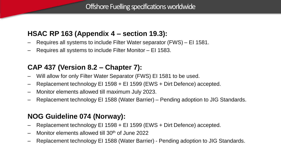### **HSAC RP 163 (Appendix 4 – section 19.3):**

- Requires all systems to include Filter Water separator (FWS) EI 1581.
- Requires all systems to include Filter Monitor EI 1583.

## **CAP 437 (Version 8.2 – Chapter 7):**

- Will allow for only Filter Water Separator (FWS) EI 1581 to be used.
- Replacement technology EI 1598 + EI 1599 (EWS + Dirt Defence) accepted.
- Monitor elements allowed till maximum July 2023.
- Replacement technology EI 1588 (Water Barrier) Pending adoption to JIG Standards.

## **NOG Guideline 074 (Norway):**

- Replacement technology EI 1598 + EI 1599 (EWS + Dirt Defence) accepted.
- Monitor elements allowed till 30th of June 2022
- Replacement technology EI 1588 (Water Barrier) Pending adoption to JIG Standards.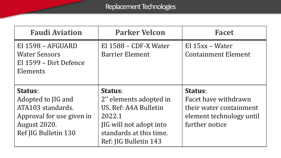| <b>Faudi Aviation</b>                                                                                                          | <b>Parker Velcon</b>                                                                                                                                | <b>Facet</b>                                                                                             |
|--------------------------------------------------------------------------------------------------------------------------------|-----------------------------------------------------------------------------------------------------------------------------------------------------|----------------------------------------------------------------------------------------------------------|
| EI 1598 - AFGUARD<br><b>Water Sensors</b><br>EI 1599 - Dirt Defence<br>Elements                                                | EI $1588 - CDF-X Water$<br><b>Barrier Element</b>                                                                                                   | $EI$ 15xx – Water<br><b>Containment Element</b>                                                          |
| <b>Status:</b><br>Adopted to JIG and<br>ATA103 standards.<br>Approval for use given in<br>August 2020.<br>Ref JIG Bulletin 130 | Status:<br>2" elements adopted in<br>US. Ref: A4A Bulletin<br>2022.1<br>JIG will not adopt into<br>standards at this time.<br>Ref: JIG Bulletin 143 | Status:<br>Facet have withdrawn<br>their water containment<br>element technology until<br>further notice |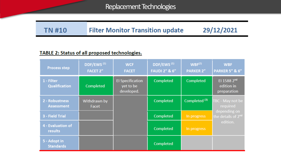Replacement Technologies

### 29/12/2021 **Filter Monitor Transition update TN#10**

### TABLE 2: Status of all proposed technologies.

| <b>Process step</b>                 | DDF/EWS <sup>(1)</sup><br><b>FACET 2"</b> | <b>WCF</b><br><b>FACET</b>                         | DDF/EWS <sup>(1)</sup><br><b>FAUDI 2" &amp; 6"</b> | WBF <sup>(2)</sup><br><b>PARKER 2"</b> | <b>WBF</b><br><b>PARKER 5" &amp; 6"</b>        |
|-------------------------------------|-------------------------------------------|----------------------------------------------------|----------------------------------------------------|----------------------------------------|------------------------------------------------|
| 1 - Filter<br>Qualification         | Completed                                 | <b>El Specification</b><br>yet to be<br>developed. | Completed                                          | Completed                              | El 1588 2nd<br>edition in<br>preparation       |
| 2 - Robustness<br><b>Assessment</b> | Withdrawn by<br>Facet                     |                                                    | Completed                                          | Completed <sup>(3)</sup>               | TBC - May not be<br>required                   |
| 3 - Field Trial                     |                                           |                                                    | Completed                                          | In progress                            | depending on<br>the details of 2 <sup>nd</sup> |
| 4 - Evaluation of<br>results        |                                           |                                                    | Completed                                          | In progress                            | edition.                                       |
| 5 - Adopt in<br><b>Standards</b>    |                                           |                                                    | Completed                                          |                                        |                                                |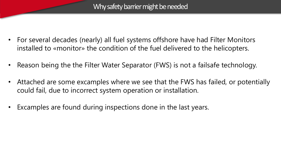- For several decades (nearly) all fuel systems offshore have had Filter Monitors installed to «monitor» the condition of the fuel delivered to the helicopters.
- Reason being the the Filter Water Separator (FWS) is not a failsafe technology.
- Attached are some excamples where we see that the FWS has failed, or potentially could fail, due to incorrect system operation or installation.
- Excamples are found during inspections done in the last years.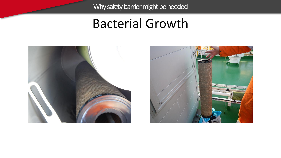## **Bacterial Growth**



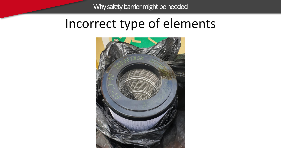## Incorrect type of elements

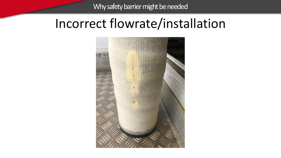## Incorrect flowrate/installation